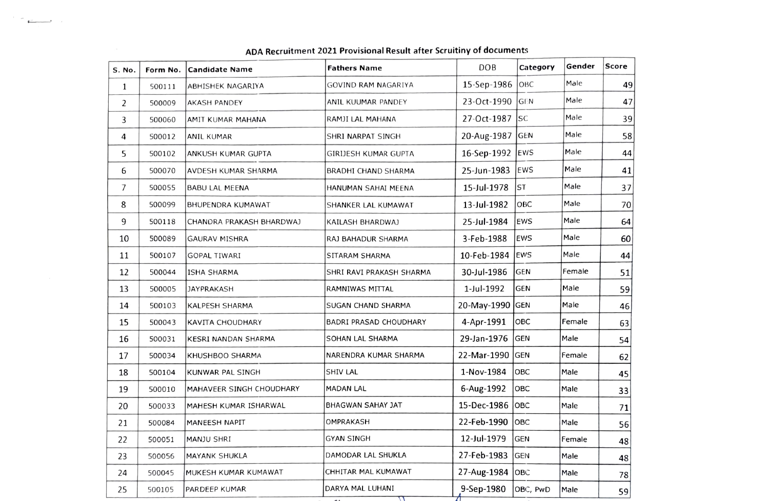| <b>S. No.</b> | Form No. | <b>Candidate Name</b>    | <b>Fathers Name</b>      | <b>DOB</b>      | Category   | Gender | <b>Score</b> |
|---------------|----------|--------------------------|--------------------------|-----------------|------------|--------|--------------|
| $\mathbf{1}$  | 500111   | ABHISHEK NAGARIYA        | GOVIND RAM NAGARIYA      | 15-Sep-1986     | ОВС        | Male   | 49           |
| 2             | 500009   | <b>AKASH PANDEY</b>      | ANIL KUUMAR PANDEY       | 23-Oct-1990     | <b>GEN</b> | Male   | 47           |
| 3             | 500060   | AMIT KUMAR MAHANA        | RAMJI LAL MAHANA         | 27-Oct-1987     | <b>SC</b>  | Male   | 39           |
| 4             | 500012   | ANIL KUMAR               | SHRI NARPAT SINGH        | 20-Aug-1987 GEN |            | Male   | 58           |
| 5             | 500102   | ANKUSH KUMAR GUPTA       | GIRIJESH KUMAR GUPTA     | 16-Sep-1992     | EWS        | Male   | 44           |
| 6             | 500070   | AVDESH KUMAR SHARMA      | BRADHI CHAND SHARMA      | 25-Jun-1983     | EWS        | Male   | 41           |
| 7             | 500055   | <b>BABU LAL MEENA</b>    | HANUMAN SAHAI MEENA      | 15-Jul-1978     | lst        | Male   | 37           |
| 8             | 500099   | <b>BHUPENDRA KUMAWAT</b> | SHANKER LAL KUMAWAT      | 13-Jul-1982     | овс        | Male   | 70           |
| 9             | 500118   | CHANDRA PRAKASH BHARDWAJ | KAILASH BHARDWAJ         | 25-Jul-1984     | EWS        | Male   | 64           |
| 10            | 500089   | <b>GAURAV MISHRA</b>     | RAJ BAHADUR SHARMA       | 3-Feb-1988      | EWS        | Male   | 60           |
| 11            | 500107   | <b>GOPAL TIWARI</b>      | SITARAM SHARMA           | 10-Feb-1984     | lews       | Male   | 44           |
| 12            | 500044   | ISHA SHARMA              | SHRI RAVI PRAKASH SHARMA | 30-Jul-1986     | <b>GEN</b> | Female | 51           |
| 13            | 500005   | JAYPRAKASH               | RAMNIWAS MITTAL          | 1-Jul-1992      | GEN        | Male   | 59           |
| 14            | 500103   | KALPESH SHARMA           | SUGAN CHAND SHARMA       | 20-May-1990 GEN |            | Male   | 46           |
| 15            | 500043   | KAVITA CHOUDHARY         | BADRI PRASAD CHOUDHARY   | 4-Apr-1991      | OBC        | Female | 63           |
| 16            | 500031   | KESRI NANDAN SHARMA      | SOHAN LAL SHARMA         | 29-Jan-1976     | lgen       | Male   | 54           |
| 17            | 500034   | KHUSHBOO SHARMA          | NARENDRA KUMAR SHARMA    | 22-Mar-1990     | GEN        | Female | 62           |
| 18            | 500104   | KUNWAR PAL SINGH         | SHIV LAL                 | 1-Nov-1984      | OBC        | Male   | 45           |
| 19            | 500010   | MAHAVEER SINGH CHOUDHARY | <b>MADAN LAL</b>         | 6-Aug-1992      | овс        | Male   | 33           |
| 20            | 500033   | MAHESH KUMAR ISHARWAL    | BHAGWAN SAHAY JAT        | 15-Dec-1986 OBC |            | Male   | 71           |
| 21            | 500084   | MANEESH NAPIT            | OMPRAKASH                | 22-Feb-1990     | Іовс       | Male   | 56           |
| 22            | 500051   | MANJU SHRI               | <b>GYAN SINGH</b>        | 12-Jul-1979     | GEN        | Female | 48           |
| 23            | 500056   | <b>MAYANK SHUKLA</b>     | DAMODAR LAL SHUKLA       | 27-Feb-1983     | lgen       | Male   | 48           |
| 24            | 500045   | MUKESH KUMAR KUMAWAT     | CHHITAR MAL KUMAWAT      | 27-Aug-1984 OBC |            | Male   | 78           |
| 25            | 500105   | <b>PARDEEP KUMAR</b>     | DARYA MAL LUHANI         | 9-Sep-1980      | OBC, PwD   | Male   | 59           |

## ADA Recruitment 2021 Provisional Result after Scruitiny of documents

 $\mathcal{L} \subset \mathbb{R}^{n \times n}$